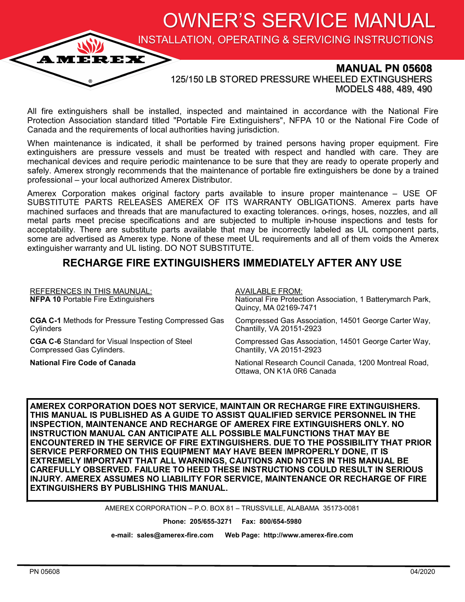OWNER'S SERVICE MANUAL

INSTALLATION, OPERATING & SERVICING INSTRUCTIONS

### **MANUAL PN 05608**

125/150 LB STORED PRESSURE WHEELED EXTINGUSHERS MODELS 488, 489, 490

All fire extinguishers shall be installed, inspected and maintained in accordance with the National Fire Protection Association standard titled "Portable Fire Extinguishers", NFPA 10 or the National Fire Code of Canada and the requirements of local authorities having jurisdiction.

When maintenance is indicated, it shall be performed by trained persons having proper equipment. Fire extinguishers are pressure vessels and must be treated with respect and handled with care. They are mechanical devices and require periodic maintenance to be sure that they are ready to operate properly and safely. Amerex strongly recommends that the maintenance of portable fire extinguishers be done by a trained professional – your local authorized Amerex Distributor.

Amerex Corporation makes original factory parts available to insure proper maintenance – USE OF SUBSTITUTE PARTS RELEASES AMEREX OF ITS WARRANTY OBLIGATIONS. Amerex parts have machined surfaces and threads that are manufactured to exacting tolerances. o-rings, hoses, nozzles, and all metal parts meet precise specifications and are subjected to multiple in-house inspections and tests for acceptability. There are substitute parts available that may be incorrectly labeled as UL component parts, some are advertised as Amerex type. None of these meet UL requirements and all of them voids the Amerex extinguisher warranty and UL listing. DO NOT SUBSTITUTE.

### **RECHARGE FIRE EXTINGUISHERS IMMEDIATELY AFTER ANY USE**

| <b>REFERENCES IN THIS MAUNUAL:</b><br><b>NFPA 10 Portable Fire Extinguishers</b> | <b>AVAILABLE FROM:</b><br>National Fire Protection Association, 1 Batterymarch Park,<br>Quincy, MA 02169-7471 |
|----------------------------------------------------------------------------------|---------------------------------------------------------------------------------------------------------------|
| <b>CGA C-1</b> Methods for Pressure Testing Compressed Gas                       | Compressed Gas Association, 14501 George Carter Way,                                                          |
| Cylinders                                                                        | Chantilly, VA 20151-2923                                                                                      |
| <b>CGA C-6</b> Standard for Visual Inspection of Steel                           | Compressed Gas Association, 14501 George Carter Way,                                                          |
| Compressed Gas Cylinders.                                                        | Chantilly, VA 20151-2923                                                                                      |
| <b>National Fire Code of Canada</b>                                              | National Research Council Canada, 1200 Montreal Road,<br>Ottawa, ON K1A 0R6 Canada                            |

**AMEREX CORPORATION DOES NOT SERVICE, MAINTAIN OR RECHARGE FIRE EXTINGUISHERS. THIS MANUAL IS PUBLISHED AS A GUIDE TO ASSIST QUALIFIED SERVICE PERSONNEL IN THE INSPECTION, MAINTENANCE AND RECHARGE OF AMEREX FIRE EXTINGUISHERS ONLY. NO INSTRUCTION MANUAL CAN ANTICIPATE ALL POSSIBLE MALFUNCTIONS THAT MAY BE ENCOUNTERED IN THE SERVICE OF FIRE EXTINGUISHERS. DUE TO THE POSSIBILITY THAT PRIOR SERVICE PERFORMED ON THIS EQUIPMENT MAY HAVE BEEN IMPROPERLY DONE, IT IS EXTREMELY IMPORTANT THAT ALL WARNINGS, CAUTIONS AND NOTES IN THIS MANUAL BE CAREFULLY OBSERVED. FAILURE TO HEED THESE INSTRUCTIONS COULD RESULT IN SERIOUS INJURY. AMEREX ASSUMES NO LIABILITY FOR SERVICE, MAINTENANCE OR RECHARGE OF FIRE EXTINGUISHERS BY PUBLISHING THIS MANUAL.**

AMEREX CORPORATION – P.O. BOX 81 – TRUSSVILLE, ALABAMA 35173-0081

**Phone: 205/655-3271 Fax: 800/654-5980**

**e-mail: sales@amerex-fire.com Web Page: http://www.amerex-fire.com**

**AMEREX**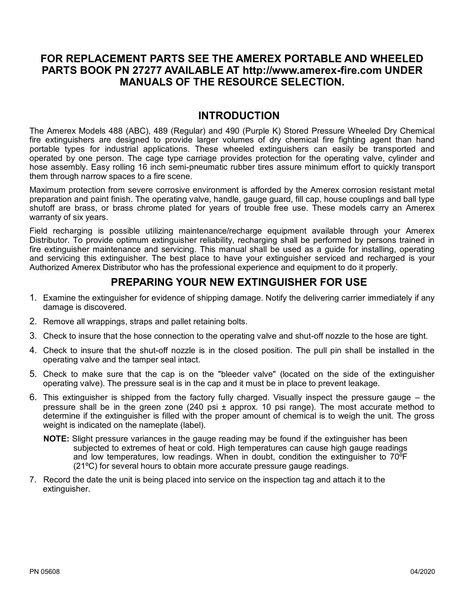### **FOR REPLACEMENT PARTS SEE THE AMEREX PORTABLE AND WHEELED PARTS BOOK PN 27277 AVAILABLE AT http://www.amerex-fire.com UNDER MANUALS OF THE RESOURCE SELECTION.**

### **INTRODUCTION**

The Amerex Models 488 (ABC), 489 (Regular) and 490 (Purple K) Stored Pressure Wheeled Dry Chemical fire extinguishers are designed to provide larger volumes of dry chemical fire fighting agent than hand portable types for industrial applications. These wheeled extinguishers can easily be transported and operated by one person. The cage type carriage provides protection for the operating valve, cylinder and hose assembly. Easy rolling 16 inch semi-pneumatic rubber tires assure minimum effort to quickly transport them through narrow spaces to a fire scene.

Maximum protection from severe corrosive environment is afforded by the Amerex corrosion resistant metal preparation and paint finish. The operating valve, handle, gauge guard, fill cap, house couplings and ball type shutoff are brass, or brass chrome plated for years of trouble free use. These models carry an Amerex warranty of six years.

Field recharging is possible utilizing maintenance/recharge equipment available through your Amerex Distributor. To provide optimum extinguisher reliability, recharging shall be performed by persons trained in fire extinguisher maintenance and servicing. This manual shall be used as a guide for installing, operating and servicing this extinguisher. The best place to have your extinguisher serviced and recharged is your Authorized Amerex Distributor who has the professional experience and equipment to do it properly.

### **PREPARING YOUR NEW EXTINGUISHER FOR USE**

- 1. Examine the extinguisher for evidence of shipping damage. Notify the delivering carrier immediately if any damage is discovered.
- 2. Remove all wrappings, straps and pallet retaining bolts.
- 3. Check to insure that the hose connection to the operating valve and shut-off nozzle to the hose are tight.
- 4. Check to insure that the shut-off nozzle is in the closed position. The pull pin shall be installed in the operating valve and the tamper seal intact.
- 5. Check to make sure that the cap is on the "bleeder valve" (located on the side of the extinguisher operating valve). The pressure seal is in the cap and it must be in place to prevent leakage.
- 6. This extinguisher is shipped from the factory fully charged. Visually inspect the pressure gauge the pressure shall be in the green zone (240 psi  $\pm$  approx. 10 psi range). The most accurate method to determine if the extinguisher is filled with the proper amount of chemical is to weigh the unit. The gross weight is indicated on the nameplate (label).
	- **NOTE:** Slight pressure variances in the gauge reading may be found if the extinguisher has been subjected to extremes of heat or cold. High temperatures can cause high gauge readings and low temperatures, low readings. When in doubt, condition the extinguisher to 70ºF (21ºC) for several hours to obtain more accurate pressure gauge readings.
- 7. Record the date the unit is being placed into service on the inspection tag and attach it to the extinguisher.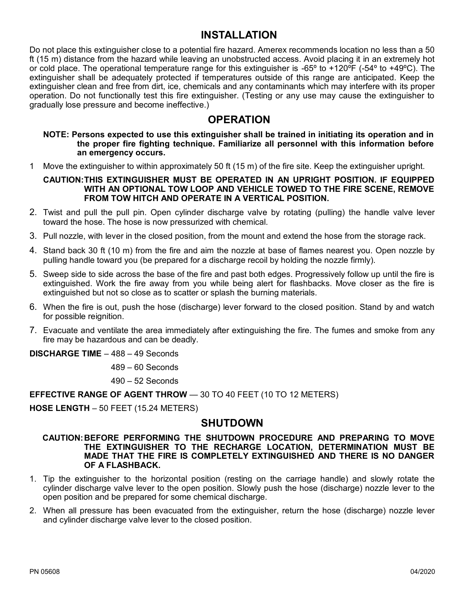### **INSTALLATION**

Do not place this extinguisher close to a potential fire hazard. Amerex recommends location no less than a 50 ft (15 m) distance from the hazard while leaving an unobstructed access. Avoid placing it in an extremely hot or cold place. The operational temperature range for this extinguisher is -65º to +120ºF (-54º to +49ºC). The extinguisher shall be adequately protected if temperatures outside of this range are anticipated. Keep the extinguisher clean and free from dirt, ice, chemicals and any contaminants which may interfere with its proper operation. Do not functionally test this fire extinguisher. (Testing or any use may cause the extinguisher to gradually lose pressure and become ineffective.)

### **OPERATION**

**NOTE: Persons expected to use this extinguisher shall be trained in initiating its operation and in the proper fire fighting technique. Familiarize all personnel with this information before an emergency occurs.**

1 Move the extinguisher to within approximately 50 ft (15 m) of the fire site. Keep the extinguisher upright.

#### **CAUTION:THIS EXTINGUISHER MUST BE OPERATED IN AN UPRIGHT POSITION. IF EQUIPPED WITH AN OPTIONAL TOW LOOP AND VEHICLE TOWED TO THE FIRE SCENE, REMOVE FROM TOW HITCH AND OPERATE IN A VERTICAL POSITION.**

- 2. Twist and pull the pull pin. Open cylinder discharge valve by rotating (pulling) the handle valve lever toward the hose. The hose is now pressurized with chemical.
- 3. Pull nozzle, with lever in the closed position, from the mount and extend the hose from the storage rack.
- 4. Stand back 30 ft (10 m) from the fire and aim the nozzle at base of flames nearest you. Open nozzle by pulling handle toward you (be prepared for a discharge recoil by holding the nozzle firmly).
- 5. Sweep side to side across the base of the fire and past both edges. Progressively follow up until the fire is extinguished. Work the fire away from you while being alert for flashbacks. Move closer as the fire is extinguished but not so close as to scatter or splash the burning materials.
- 6. When the fire is out, push the hose (discharge) lever forward to the closed position. Stand by and watch for possible reignition.
- 7. Evacuate and ventilate the area immediately after extinguishing the fire. The fumes and smoke from any fire may be hazardous and can be deadly.

**DISCHARGE TIME** – 488 – 49 Seconds

489 – 60 Seconds

490 – 52 Seconds

**EFFECTIVE RANGE OF AGENT THROW** — 30 TO 40 FEET (10 TO 12 METERS)

**HOSE LENGTH** – 50 FEET (15.24 METERS)

### **SHUTDOWN**

**CAUTION:BEFORE PERFORMING THE SHUTDOWN PROCEDURE AND PREPARING TO MOVE THE EXTINGUISHER TO THE RECHARGE LOCATION, DETERMINATION MUST BE MADE THAT THE FIRE IS COMPLETELY EXTINGUISHED AND THERE IS NO DANGER OF A FLASHBACK.**

- 1. Tip the extinguisher to the horizontal position (resting on the carriage handle) and slowly rotate the cylinder discharge valve lever to the open position. Slowly push the hose (discharge) nozzle lever to the open position and be prepared for some chemical discharge.
- 2. When all pressure has been evacuated from the extinguisher, return the hose (discharge) nozzle lever and cylinder discharge valve lever to the closed position.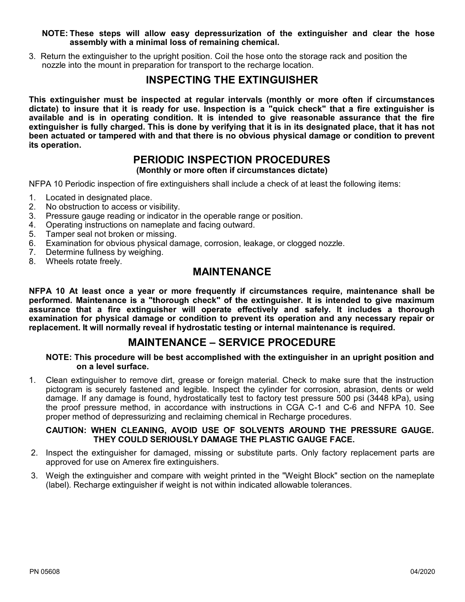#### **NOTE: These steps will allow easy depressurization of the extinguisher and clear the hose assembly with a minimal loss of remaining chemical.**

3. Return the extinguisher to the upright position. Coil the hose onto the storage rack and position the nozzle into the mount in preparation for transport to the recharge location.

### **INSPECTING THE EXTINGUISHER**

**This extinguisher must be inspected at regular intervals (monthly or more often if circumstances dictate) to insure that it is ready for use. Inspection is a "quick check" that a fire extinguisher is available and is in operating condition. It is intended to give reasonable assurance that the fire extinguisher is fully charged. This is done by verifying that it is in its designated place, that it has not been actuated or tampered with and that there is no obvious physical damage or condition to prevent its operation.**

### **PERIODIC INSPECTION PROCEDURES**

**(Monthly or more often if circumstances dictate)**

NFPA 10 Periodic inspection of fire extinguishers shall include a check of at least the following items:

- 1. Located in designated place.
- 2. No obstruction to access or visibility.
- 3. Pressure gauge reading or indicator in the operable range or position.
- 4. Operating instructions on nameplate and facing outward.
- 5. Tamper seal not broken or missing.
- 6. Examination for obvious physical damage, corrosion, leakage, or clogged nozzle.
- 7. Determine fullness by weighing.
- 8. Wheels rotate freely.

### **MAINTENANCE**

**NFPA 10 At least once a year or more frequently if circumstances require, maintenance shall be performed. Maintenance is a "thorough check" of the extinguisher. It is intended to give maximum assurance that a fire extinguisher will operate effectively and safely. It includes a thorough examination for physical damage or condition to prevent its operation and any necessary repair or replacement. It will normally reveal if hydrostatic testing or internal maintenance is required.**

### **MAINTENANCE – SERVICE PROCEDURE**

**NOTE: This procedure will be best accomplished with the extinguisher in an upright position and on a level surface.**

1. Clean extinguisher to remove dirt, grease or foreign material. Check to make sure that the instruction pictogram is securely fastened and legible. Inspect the cylinder for corrosion, abrasion, dents or weld damage. If any damage is found, hydrostatically test to factory test pressure 500 psi (3448 kPa), using the proof pressure method, in accordance with instructions in CGA C-1 and C-6 and NFPA 10. See proper method of depressurizing and reclaiming chemical in Recharge procedures.

### **CAUTION: WHEN CLEANING, AVOID USE OF SOLVENTS AROUND THE PRESSURE GAUGE. THEY COULD SERIOUSLY DAMAGE THE PLASTIC GAUGE FACE.**

- 2. Inspect the extinguisher for damaged, missing or substitute parts. Only factory replacement parts are approved for use on Amerex fire extinguishers.
- 3. Weigh the extinguisher and compare with weight printed in the "Weight Block" section on the nameplate (label). Recharge extinguisher if weight is not within indicated allowable tolerances.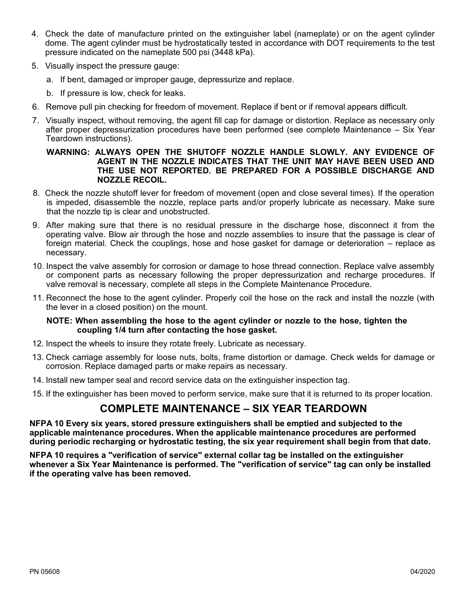- 4. Check the date of manufacture printed on the extinguisher label (nameplate) or on the agent cylinder dome. The agent cylinder must be hydrostatically tested in accordance with DOT requirements to the test pressure indicated on the nameplate 500 psi (3448 kPa).
- 5. Visually inspect the pressure gauge:
	- a. If bent, damaged or improper gauge, depressurize and replace.
	- b. If pressure is low, check for leaks.
- 6. Remove pull pin checking for freedom of movement. Replace if bent or if removal appears difficult.
- 7. Visually inspect, without removing, the agent fill cap for damage or distortion. Replace as necessary only after proper depressurization procedures have been performed (see complete Maintenance – Six Year Teardown instructions).

#### **WARNING: ALWAYS OPEN THE SHUTOFF NOZZLE HANDLE SLOWLY. ANY EVIDENCE OF AGENT IN THE NOZZLE INDICATES THAT THE UNIT MAY HAVE BEEN USED AND THE USE NOT REPORTED. BE PREPARED FOR A POSSIBLE DISCHARGE AND NOZZLE RECOIL.**

- 8. Check the nozzle shutoff lever for freedom of movement (open and close several times). If the operation is impeded, disassemble the nozzle, replace parts and/or properly lubricate as necessary. Make sure that the nozzle tip is clear and unobstructed.
- 9. After making sure that there is no residual pressure in the discharge hose, disconnect it from the operating valve. Blow air through the hose and nozzle assemblies to insure that the passage is clear of foreign material. Check the couplings, hose and hose gasket for damage or deterioration – replace as necessary.
- 10. Inspect the valve assembly for corrosion or damage to hose thread connection. Replace valve assembly or component parts as necessary following the proper depressurization and recharge procedures. If valve removal is necessary, complete all steps in the Complete Maintenance Procedure.
- 11. Reconnect the hose to the agent cylinder. Properly coil the hose on the rack and install the nozzle (with the lever in a closed position) on the mount.

### **NOTE: When assembling the hose to the agent cylinder or nozzle to the hose, tighten the coupling 1/4 turn after contacting the hose gasket.**

- 12. Inspect the wheels to insure they rotate freely. Lubricate as necessary.
- 13. Check carriage assembly for loose nuts, bolts, frame distortion or damage. Check welds for damage or corrosion. Replace damaged parts or make repairs as necessary.
- 14. Install new tamper seal and record service data on the extinguisher inspection tag.
- 15. If the extinguisher has been moved to perform service, make sure that it is returned to its proper location.

### **COMPLETE MAINTENANCE – SIX YEAR TEARDOWN**

**NFPA 10 Every six years, stored pressure extinguishers shall be emptied and subjected to the applicable maintenance procedures. When the applicable maintenance procedures are performed during periodic recharging or hydrostatic testing, the six year requirement shall begin from that date.**

**NFPA 10 requires a "verification of service" external collar tag be installed on the extinguisher whenever a Six Year Maintenance is performed. The "verification of service" tag can only be installed if the operating valve has been removed.**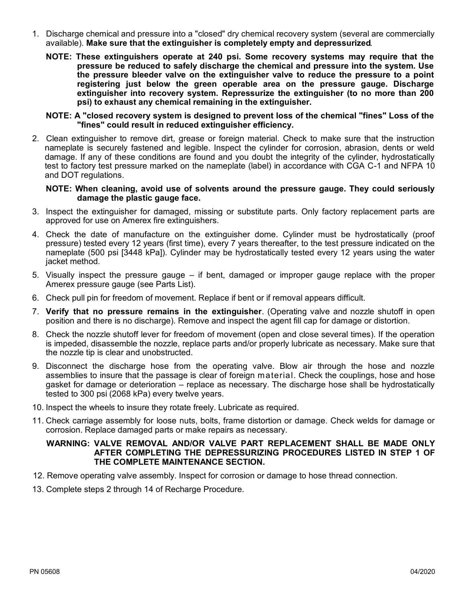- 1. Discharge chemical and pressure into a "closed" dry chemical recovery system (several are commercially available). **Make sure that the extinguisher is completely empty and depressurized**.
	- **NOTE: These extinguishers operate at 240 psi. Some recovery systems may require that the pressure be reduced to safely discharge the chemical and pressure into the system. Use the pressure bleeder valve on the extinguisher valve to reduce the pressure to a point registering just below the green operable area on the pressure gauge. Discharge extinguisher into recovery system. Repressurize the extinguisher (to no more than 200 psi) to exhaust any chemical remaining in the extinguisher.**

#### **NOTE: A "closed recovery system is designed to prevent loss of the chemical "fines" Loss of the "fines" could result in reduced extinguisher efficiency.**

2. Clean extinguisher to remove dirt, grease or foreign material. Check to make sure that the instruction nameplate is securely fastened and legible. Inspect the cylinder for corrosion, abrasion, dents or weld damage. If any of these conditions are found and you doubt the integrity of the cylinder, hydrostatically test to factory test pressure marked on the nameplate (label) in accordance with CGA C-1 and NFPA 10 and DOT regulations.

#### **NOTE: When cleaning, avoid use of solvents around the pressure gauge. They could seriously damage the plastic gauge face.**

- 3. Inspect the extinguisher for damaged, missing or substitute parts. Only factory replacement parts are approved for use on Amerex fire extinguishers.
- 4. Check the date of manufacture on the extinguisher dome. Cylinder must be hydrostatically (proof pressure) tested every 12 years (first time), every 7 years thereafter, to the test pressure indicated on the nameplate (500 psi [3448 kPa]). Cylinder may be hydrostatically tested every 12 years using the water jacket method.
- 5. Visually inspect the pressure gauge if bent, damaged or improper gauge replace with the proper Amerex pressure gauge (see Parts List).
- 6. Check pull pin for freedom of movement. Replace if bent or if removal appears difficult.
- 7. **Verify that no pressure remains in the extinguisher**. (Operating valve and nozzle shutoff in open position and there is no discharge). Remove and inspect the agent fill cap for damage or distortion.
- 8. Check the nozzle shutoff lever for freedom of movement (open and close several times). If the operation is impeded, disassemble the nozzle, replace parts and/or properly lubricate as necessary. Make sure that the nozzle tip is clear and unobstructed.
- 9. Disconnect the discharge hose from the operating valve. Blow air through the hose and nozzle assemblies to insure that the passage is clear of foreign material. Check the couplings, hose and hose gasket for damage or deterioration – replace as necessary. The discharge hose shall be hydrostatically tested to 300 psi (2068 kPa) every twelve years.
- 10. Inspect the wheels to insure they rotate freely. Lubricate as required.
- 11. Check carriage assembly for loose nuts, bolts, frame distortion or damage. Check welds for damage or corrosion. Replace damaged parts or make repairs as necessary.

#### **WARNING: VALVE REMOVAL AND/OR VALVE PART REPLACEMENT SHALL BE MADE ONLY AFTER COMPLETING THE DEPRESSURIZING PROCEDURES LISTED IN STEP 1 OF THE COMPLETE MAINTENANCE SECTION.**

- 12. Remove operating valve assembly. Inspect for corrosion or damage to hose thread connection.
- 13. Complete steps 2 through 14 of Recharge Procedure.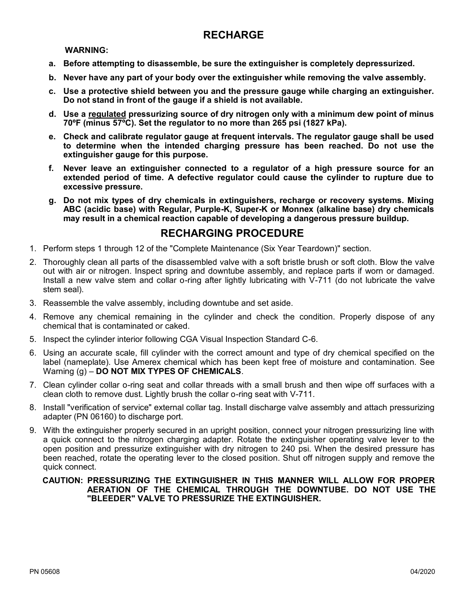### **RECHARGE**

#### **WARNING:**

- **a. Before attempting to disassemble, be sure the extinguisher is completely depressurized.**
- **b. Never have any part of your body over the extinguisher while removing the valve assembly.**
- **c. Use a protective shield between you and the pressure gauge while charging an extinguisher. Do not stand in front of the gauge if a shield is not available.**
- **d. Use a regulated pressurizing source of dry nitrogen only with a minimum dew point of minus 70ºF (minus 57ºC). Set the regulator to no more than 265 psi (1827 kPa).**
- **e. Check and calibrate regulator gauge at frequent intervals. The regulator gauge shall be used to determine when the intended charging pressure has been reached. Do not use the extinguisher gauge for this purpose.**
- **f. Never leave an extinguisher connected to a regulator of a high pressure source for an extended period of time. A defective regulator could cause the cylinder to rupture due to excessive pressure.**
- **g. Do not mix types of dry chemicals in extinguishers, recharge or recovery systems. Mixing ABC (acidic base) with Regular, Purple-K, Super-K or Monnex (alkaline base) dry chemicals may result in a chemical reaction capable of developing a dangerous pressure buildup.**

### **RECHARGING PROCEDURE**

- 1. Perform steps 1 through 12 of the "Complete Maintenance (Six Year Teardown)" section.
- 2. Thoroughly clean all parts of the disassembled valve with a soft bristle brush or soft cloth. Blow the valve out with air or nitrogen. Inspect spring and downtube assembly, and replace parts if worn or damaged. Install a new valve stem and collar o-ring after lightly lubricating with V-711 (do not lubricate the valve stem seal).
- 3. Reassemble the valve assembly, including downtube and set aside.
- 4. Remove any chemical remaining in the cylinder and check the condition. Properly dispose of any chemical that is contaminated or caked.
- 5. Inspect the cylinder interior following CGA Visual Inspection Standard C-6.
- 6. Using an accurate scale, fill cylinder with the correct amount and type of dry chemical specified on the label (nameplate). Use Amerex chemical which has been kept free of moisture and contamination. See Warning (g) – **DO NOT MIX TYPES OF CHEMICALS**.
- 7. Clean cylinder collar o-ring seat and collar threads with a small brush and then wipe off surfaces with a clean cloth to remove dust. Lightly brush the collar o-ring seat with V-711.
- 8. Install "verification of service" external collar tag. Install discharge valve assembly and attach pressurizing adapter (PN 06160) to discharge port.
- 9. With the extinguisher properly secured in an upright position, connect your nitrogen pressurizing line with a quick connect to the nitrogen charging adapter. Rotate the extinguisher operating valve lever to the open position and pressurize extinguisher with dry nitrogen to 240 psi. When the desired pressure has been reached, rotate the operating lever to the closed position. Shut off nitrogen supply and remove the quick connect.

#### **CAUTION: PRESSURIZING THE EXTINGUISHER IN THIS MANNER WILL ALLOW FOR PROPER AERATION OF THE CHEMICAL THROUGH THE DOWNTUBE. DO NOT USE THE "BLEEDER" VALVE TO PRESSURIZE THE EXTINGUISHER.**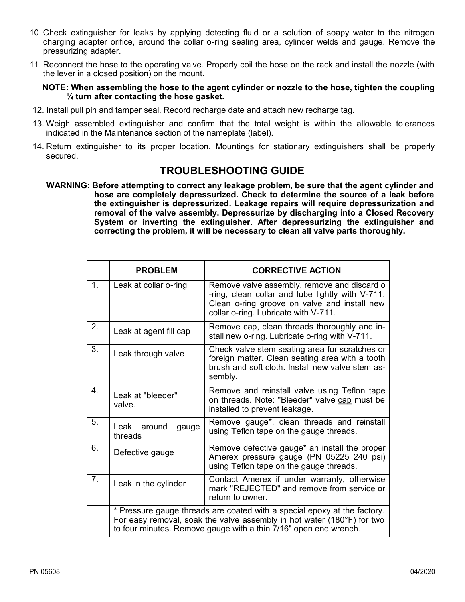- 10. Check extinguisher for leaks by applying detecting fluid or a solution of soapy water to the nitrogen charging adapter orifice, around the collar o-ring sealing area, cylinder welds and gauge. Remove the pressurizing adapter.
- 11. Reconnect the hose to the operating valve. Properly coil the hose on the rack and install the nozzle (with the lever in a closed position) on the mount.

#### **NOTE: When assembling the hose to the agent cylinder or nozzle to the hose, tighten the coupling ¼ turn after contacting the hose gasket.**

- 12. Install pull pin and tamper seal. Record recharge date and attach new recharge tag.
- 13. Weigh assembled extinguisher and confirm that the total weight is within the allowable tolerances indicated in the Maintenance section of the nameplate (label).
- 14. Return extinguisher to its proper location. Mountings for stationary extinguishers shall be properly secured.

### **TROUBLESHOOTING GUIDE**

**WARNING: Before attempting to correct any leakage problem, be sure that the agent cylinder and hose are completely depressurized. Check to determine the source of a leak before the extinguisher is depressurized. Leakage repairs will require depressurization and removal of the valve assembly. Depressurize by discharging into a Closed Recovery System or inverting the extinguisher. After depressurizing the extinguisher and correcting the problem, it will be necessary to clean all valve parts thoroughly.**

|                | <b>PROBLEM</b>                                                                                                                                                                                                         | <b>CORRECTIVE ACTION</b>                                                                                                                                                                |
|----------------|------------------------------------------------------------------------------------------------------------------------------------------------------------------------------------------------------------------------|-----------------------------------------------------------------------------------------------------------------------------------------------------------------------------------------|
| 1.             | Leak at collar o-ring                                                                                                                                                                                                  | Remove valve assembly, remove and discard o<br>-ring, clean collar and lube lightly with V-711.<br>Clean o-ring groove on valve and install new<br>collar o-ring. Lubricate with V-711. |
| 2.             | Leak at agent fill cap                                                                                                                                                                                                 | Remove cap, clean threads thoroughly and in-<br>stall new o-ring. Lubricate o-ring with V-711.                                                                                          |
| 3.             | Leak through valve                                                                                                                                                                                                     | Check valve stem seating area for scratches or<br>foreign matter. Clean seating area with a tooth<br>brush and soft cloth. Install new valve stem as-<br>sembly.                        |
| 4.             | Leak at "bleeder"<br>valve.                                                                                                                                                                                            | Remove and reinstall valve using Teflon tape<br>on threads. Note: "Bleeder" valve cap must be<br>installed to prevent leakage.                                                          |
| 5.             | Leak around<br>gauge<br>threads                                                                                                                                                                                        | Remove gauge*, clean threads and reinstall<br>using Teflon tape on the gauge threads.                                                                                                   |
| 6.             | Defective gauge                                                                                                                                                                                                        | Remove defective gauge* an install the proper<br>Amerex pressure gauge (PN 05225 240 psi)<br>using Teflon tape on the gauge threads.                                                    |
| 7 <sub>1</sub> | Leak in the cylinder                                                                                                                                                                                                   | Contact Amerex if under warranty, otherwise<br>mark "REJECTED" and remove from service or<br>return to owner.                                                                           |
|                | * Pressure gauge threads are coated with a special epoxy at the factory.<br>For easy removal, soak the valve assembly in hot water (180°F) for two<br>to four minutes. Remove gauge with a thin 7/16" open end wrench. |                                                                                                                                                                                         |